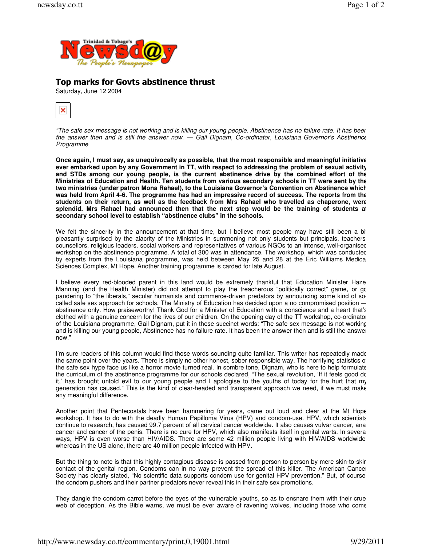

## Top marks for Govts abstinence thrust

Saturday, June 12 2004



"The safe sex message is not working and is killing our young people. Abstinence has no failure rate. It has been the answer then and is still the answer now. — Gail Dignam, Co-ordinator, Louisiana Governor's Abstinence Programme

**Once again, I must say, as unequivocally as possible, that the most responsible and meaningful initiative ever embarked upon by any Government in TT, with respect to addressing the problem of sexual activity and STDs among our young people, is the current abstinence drive by the combined effort of the Ministries of Education and Health. Ten students from various secondary schools in TT were sent by the two ministries (under patron Mona Rahael), to the Louisiana Governor's Convention on Abstinence which was held from April 4-6. The programme has had an impressive record of success. The reports from the students on their return, as well as the feedback from Mrs Rahael who travelled as chaperone, were splendid. Mrs Rahael had announced then that the next step would be the training of students at secondary school level to establish "abstinence clubs" in the schools.** 

We felt the sincerity in the announcement at that time, but I believe most people may have still been a bit pleasantly surprised by the alacrity of the Ministries in summoning not only students but principals, teachers counsellors, religious leaders, social workers and representatives of various NGOs to an intense, well-organised workshop on the abstinence programme. A total of 300 was in attendance. The workshop, which was conducted by experts from the Louisiana programme, was held between May 25 and 28 at the Eric Williams Medica Sciences Complex, Mt Hope. Another training programme is carded for late August.

I believe every red-blooded parent in this land would be extremely thankful that Education Minister Hazel Manning (and the Health Minister) did not attempt to play the treacherous "politically correct" game, or go pandering to "the liberals," secular humanists and commerce-driven predators by announcing some kind of socalled safe sex approach for schools. The Ministry of Education has decided upon a no compromised position abstinence only. How praiseworthy! Thank God for a Minister of Education with a conscience and a heart that's clothed with a genuine concern for the lives of our children. On the opening day of the TT workshop, co-ordinator of the Louisiana programme, Gail Dignam, put it in these succinct words: "The safe sex message is not working and is killing our young people, Abstinence has no failure rate. It has been the answer then and is still the answer now."

I'm sure readers of this column would find those words sounding quite familiar. This writer has repeatedly made the same point over the years. There is simply no other honest, sober responsible way. The horrifying statistics o the safe sex hype face us like a horror movie turned real. In sombre tone, Dignam, who is here to help formulate the curriculum of the abstinence programme for our schools declared, "The sexual revolution, 'If it feels good do it,' has brought untold evil to our young people and I apologise to the youths of today for the hurt that my generation has caused." This is the kind of clear-headed and transparent approach we need, if we must make any meaningful difference.

Another point that Pentecostals have been hammering for years, came out loud and clear at the Mt Hope workshop. It has to do with the deadly Human Papilloma Virus (HPV) and condom-use. HPV, which scientists continue to research, has caused 99.7 percent of all cervical cancer worldwide. It also causes vulvar cancer, anal cancer and cancer of the penis. There is no cure for HPV, which also manifests itself in genital warts. In severa ways, HPV is even worse than HIV/AIDS. There are some 42 million people living with HIV/AIDS worldwide whereas in the US alone, there are 40 million people infected with HPV.

But the thing to note is that this highly contagious disease is passed from person to person by mere skin-to-skin contact of the genital region. Condoms can in no way prevent the spread of this killer. The American Cancer Society has clearly stated, "No scientific data supports condom use for genital HPV prevention." But, of course the condom pushers and their partner predators never reveal this in their safe sex promotions.

They dangle the condom carrot before the eyes of the vulnerable youths, so as to ensnare them with their cruel web of deception. As the Bible warns, we must be ever aware of ravening wolves, including those who come